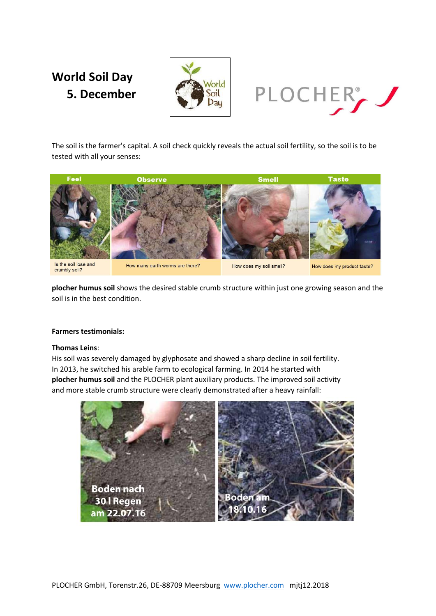# **World Soil Day 5. December**





The soil is the farmer's capital. A soil check quickly reveals the actual soil fertility, so the soil is to be tested with all your senses:



**plocher humus soil** shows the desired stable crumb structure within just one growing season and the soil is in the best condition.

## **Farmers testimonials:**

## **Thomas Leins**:

His soil was severely damaged by glyphosate and showed a sharp decline in soil fertility. In 2013, he switched his arable farm to ecological farming. In 2014 he started with **plocher humus soil** and the PLOCHER plant auxiliary products. The improved soil activity and more stable crumb structure were clearly demonstrated after a heavy rainfall: